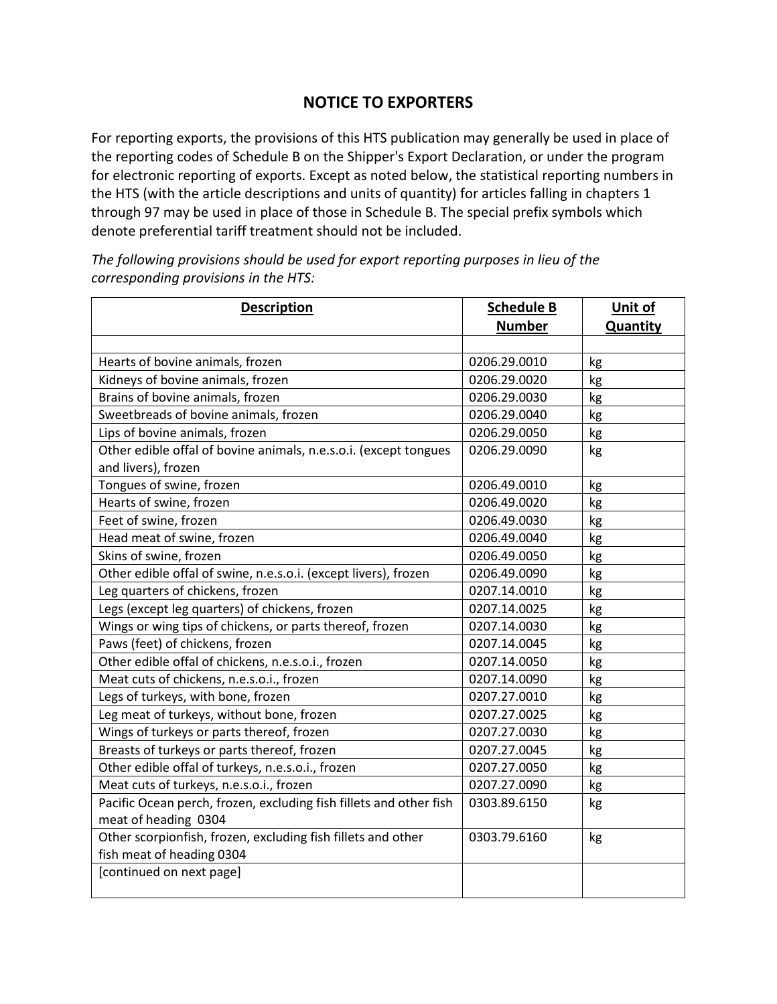## **NOTICE TO EXPORTERS**

For reporting exports, the provisions of this HTS publication may generally be used in place of the reporting codes of Schedule B on the Shipper's Export Declaration, or under the program for electronic reporting of exports. Except as noted below, the statistical reporting numbers in the HTS (with the article descriptions and units of quantity) for articles falling in chapters 1 through 97 may be used in place of those in Schedule B. The special prefix symbols which denote preferential tariff treatment should not be included.

*The following provisions should be used for export reporting purposes in lieu of the corresponding provisions in the HTS:*

| <b>Description</b>                                                                         | <b>Schedule B</b> | Unit of         |
|--------------------------------------------------------------------------------------------|-------------------|-----------------|
|                                                                                            | <b>Number</b>     | <b>Quantity</b> |
|                                                                                            |                   |                 |
| Hearts of bovine animals, frozen                                                           | 0206.29.0010      | kg              |
| Kidneys of bovine animals, frozen                                                          | 0206.29.0020      | kg              |
| Brains of bovine animals, frozen                                                           | 0206.29.0030      | kg              |
| Sweetbreads of bovine animals, frozen                                                      | 0206.29.0040      | kg              |
| Lips of bovine animals, frozen                                                             | 0206.29.0050      | kg              |
| Other edible offal of bovine animals, n.e.s.o.i. (except tongues<br>and livers), frozen    | 0206.29.0090      | kg              |
| Tongues of swine, frozen                                                                   | 0206.49.0010      | kg              |
| Hearts of swine, frozen                                                                    | 0206.49.0020      | kg              |
| Feet of swine, frozen                                                                      | 0206.49.0030      | kg              |
| Head meat of swine, frozen                                                                 | 0206.49.0040      | kg              |
| Skins of swine, frozen                                                                     | 0206.49.0050      | kg              |
| Other edible offal of swine, n.e.s.o.i. (except livers), frozen                            | 0206.49.0090      | kg              |
| Leg quarters of chickens, frozen                                                           | 0207.14.0010      | kg              |
| Legs (except leg quarters) of chickens, frozen                                             | 0207.14.0025      | kg              |
| Wings or wing tips of chickens, or parts thereof, frozen                                   | 0207.14.0030      | kg              |
| Paws (feet) of chickens, frozen                                                            | 0207.14.0045      | kg              |
| Other edible offal of chickens, n.e.s.o.i., frozen                                         | 0207.14.0050      | kg              |
| Meat cuts of chickens, n.e.s.o.i., frozen                                                  | 0207.14.0090      | kg              |
| Legs of turkeys, with bone, frozen                                                         | 0207.27.0010      | kg              |
| Leg meat of turkeys, without bone, frozen                                                  | 0207.27.0025      | kg              |
| Wings of turkeys or parts thereof, frozen                                                  | 0207.27.0030      | kg              |
| Breasts of turkeys or parts thereof, frozen                                                | 0207.27.0045      | kg              |
| Other edible offal of turkeys, n.e.s.o.i., frozen                                          | 0207.27.0050      | kg              |
| Meat cuts of turkeys, n.e.s.o.i., frozen                                                   | 0207.27.0090      | kg              |
| Pacific Ocean perch, frozen, excluding fish fillets and other fish<br>meat of heading 0304 | 0303.89.6150      | kg              |
| Other scorpionfish, frozen, excluding fish fillets and other<br>fish meat of heading 0304  | 0303.79.6160      | kg              |
| [continued on next page]                                                                   |                   |                 |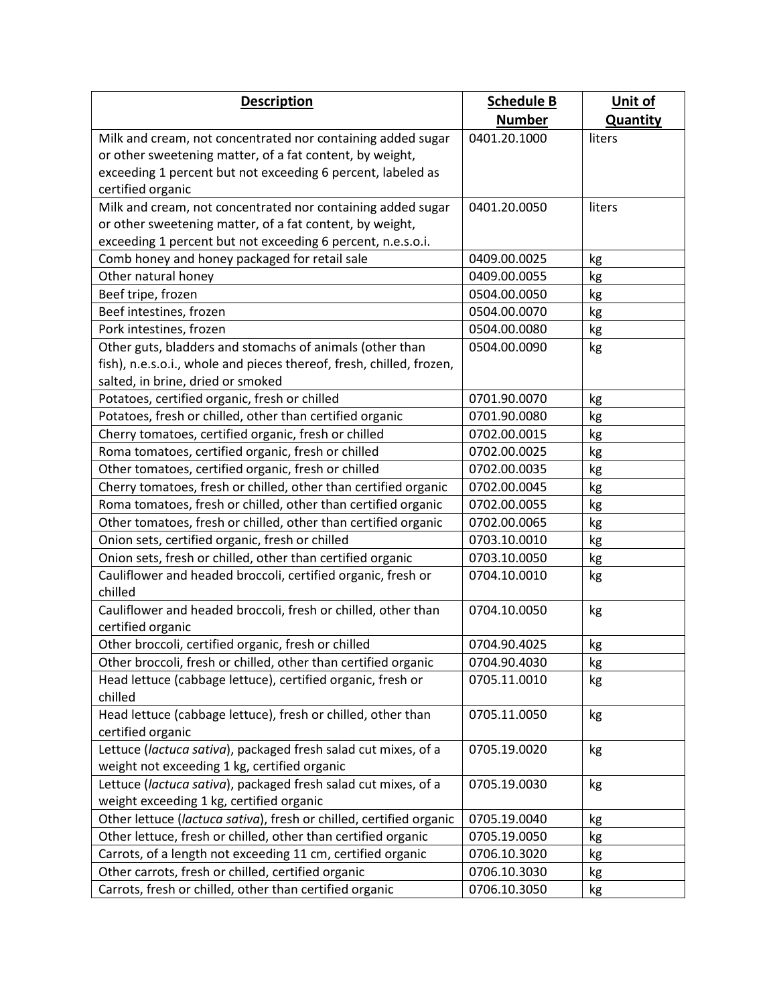| <b>Description</b>                                                   | <b>Schedule B</b> | Unit of         |
|----------------------------------------------------------------------|-------------------|-----------------|
|                                                                      | <b>Number</b>     | <b>Quantity</b> |
| Milk and cream, not concentrated nor containing added sugar          | 0401.20.1000      | liters          |
| or other sweetening matter, of a fat content, by weight,             |                   |                 |
| exceeding 1 percent but not exceeding 6 percent, labeled as          |                   |                 |
| certified organic                                                    |                   |                 |
| Milk and cream, not concentrated nor containing added sugar          | 0401.20.0050      | liters          |
| or other sweetening matter, of a fat content, by weight,             |                   |                 |
| exceeding 1 percent but not exceeding 6 percent, n.e.s.o.i.          |                   |                 |
| Comb honey and honey packaged for retail sale                        | 0409.00.0025      | kg              |
| Other natural honey                                                  | 0409.00.0055      | kg              |
| Beef tripe, frozen                                                   | 0504.00.0050      | kg              |
| Beef intestines, frozen                                              | 0504.00.0070      | kg              |
| Pork intestines, frozen                                              | 0504.00.0080      | kg              |
| Other guts, bladders and stomachs of animals (other than             | 0504.00.0090      | kg              |
| fish), n.e.s.o.i., whole and pieces thereof, fresh, chilled, frozen, |                   |                 |
| salted, in brine, dried or smoked                                    |                   |                 |
| Potatoes, certified organic, fresh or chilled                        | 0701.90.0070      | kg              |
| Potatoes, fresh or chilled, other than certified organic             | 0701.90.0080      | kg              |
| Cherry tomatoes, certified organic, fresh or chilled                 | 0702.00.0015      | kg              |
| Roma tomatoes, certified organic, fresh or chilled                   | 0702.00.0025      | kg              |
| Other tomatoes, certified organic, fresh or chilled                  | 0702.00.0035      | kg              |
| Cherry tomatoes, fresh or chilled, other than certified organic      | 0702.00.0045      | kg              |
| Roma tomatoes, fresh or chilled, other than certified organic        | 0702.00.0055      | kg              |
| Other tomatoes, fresh or chilled, other than certified organic       | 0702.00.0065      | kg              |
| Onion sets, certified organic, fresh or chilled                      | 0703.10.0010      | kg              |
| Onion sets, fresh or chilled, other than certified organic           | 0703.10.0050      | kg              |
| Cauliflower and headed broccoli, certified organic, fresh or         | 0704.10.0010      | kg              |
| chilled                                                              |                   |                 |
| Cauliflower and headed broccoli, fresh or chilled, other than        | 0704.10.0050      | kg              |
| certified organic                                                    |                   |                 |
| Other broccoli, certified organic, fresh or chilled                  | 0704.90.4025      | kg              |
| Other broccoli, fresh or chilled, other than certified organic       | 0704.90.4030      | kg              |
| Head lettuce (cabbage lettuce), certified organic, fresh or          | 0705.11.0010      | kg              |
| chilled                                                              |                   |                 |
| Head lettuce (cabbage lettuce), fresh or chilled, other than         | 0705.11.0050      | kg              |
| certified organic                                                    |                   |                 |
| Lettuce (lactuca sativa), packaged fresh salad cut mixes, of a       | 0705.19.0020      | kg              |
| weight not exceeding 1 kg, certified organic                         |                   |                 |
| Lettuce (lactuca sativa), packaged fresh salad cut mixes, of a       | 0705.19.0030      | kg              |
| weight exceeding 1 kg, certified organic                             |                   |                 |
| Other lettuce (lactuca sativa), fresh or chilled, certified organic  | 0705.19.0040      | kg              |
| Other lettuce, fresh or chilled, other than certified organic        | 0705.19.0050      | kg              |
| Carrots, of a length not exceeding 11 cm, certified organic          | 0706.10.3020      | kg              |
| Other carrots, fresh or chilled, certified organic                   | 0706.10.3030      | kg              |
| Carrots, fresh or chilled, other than certified organic              | 0706.10.3050      | kg              |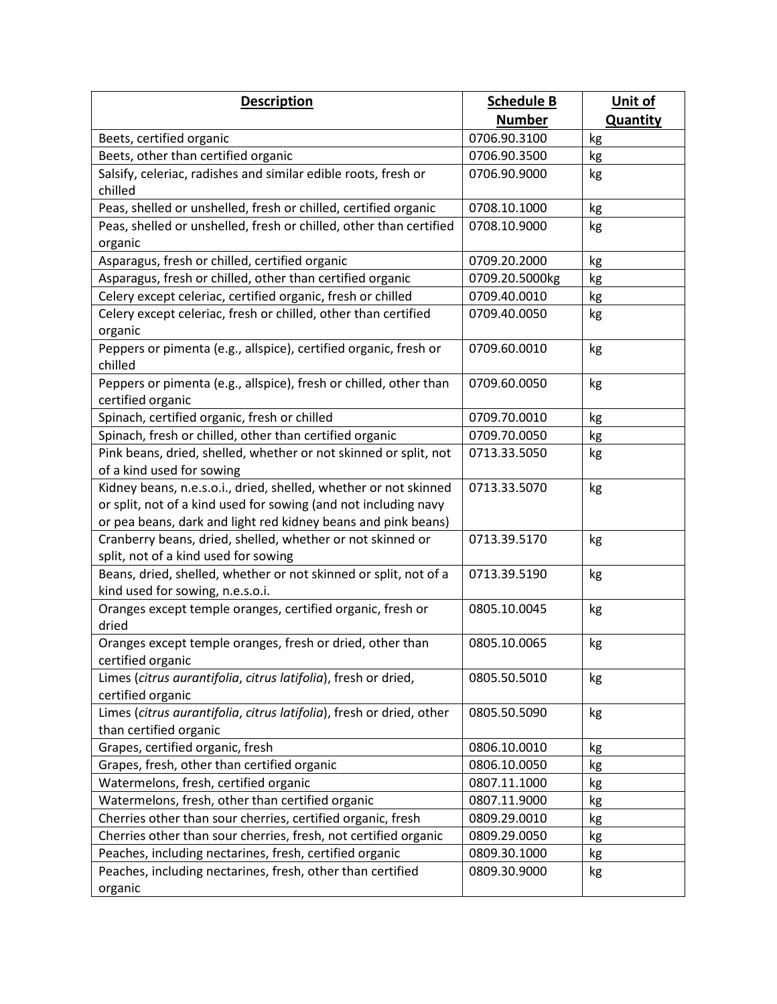| <b>Description</b>                                                                                       | <b>Schedule B</b> | Unit of         |
|----------------------------------------------------------------------------------------------------------|-------------------|-----------------|
|                                                                                                          | <b>Number</b>     | <b>Quantity</b> |
| Beets, certified organic                                                                                 | 0706.90.3100      | kg              |
| Beets, other than certified organic                                                                      | 0706.90.3500      | kg              |
| Salsify, celeriac, radishes and similar edible roots, fresh or                                           | 0706.90.9000      | kg              |
| chilled                                                                                                  |                   |                 |
| Peas, shelled or unshelled, fresh or chilled, certified organic                                          | 0708.10.1000      | kg              |
| Peas, shelled or unshelled, fresh or chilled, other than certified                                       | 0708.10.9000      | kg              |
| organic                                                                                                  |                   |                 |
| Asparagus, fresh or chilled, certified organic                                                           | 0709.20.2000      | kg              |
| Asparagus, fresh or chilled, other than certified organic                                                | 0709.20.5000kg    | kg              |
| Celery except celeriac, certified organic, fresh or chilled                                              | 0709.40.0010      | kg              |
| Celery except celeriac, fresh or chilled, other than certified                                           | 0709.40.0050      | kg              |
| organic                                                                                                  |                   |                 |
| Peppers or pimenta (e.g., allspice), certified organic, fresh or                                         | 0709.60.0010      | kg              |
| chilled                                                                                                  |                   |                 |
| Peppers or pimenta (e.g., allspice), fresh or chilled, other than                                        | 0709.60.0050      | kg              |
| certified organic                                                                                        |                   |                 |
| Spinach, certified organic, fresh or chilled                                                             | 0709.70.0010      | kg              |
| Spinach, fresh or chilled, other than certified organic                                                  | 0709.70.0050      | kg              |
| Pink beans, dried, shelled, whether or not skinned or split, not                                         | 0713.33.5050      | kg              |
| of a kind used for sowing                                                                                |                   |                 |
| Kidney beans, n.e.s.o.i., dried, shelled, whether or not skinned                                         | 0713.33.5070      | kg              |
| or split, not of a kind used for sowing (and not including navy                                          |                   |                 |
| or pea beans, dark and light red kidney beans and pink beans)                                            |                   |                 |
| Cranberry beans, dried, shelled, whether or not skinned or                                               | 0713.39.5170      | kg              |
| split, not of a kind used for sowing<br>Beans, dried, shelled, whether or not skinned or split, not of a | 0713.39.5190      |                 |
| kind used for sowing, n.e.s.o.i.                                                                         |                   | kg              |
| Oranges except temple oranges, certified organic, fresh or                                               | 0805.10.0045      | kg              |
| dried                                                                                                    |                   |                 |
| Oranges except temple oranges, fresh or dried, other than                                                | 0805.10.0065      | kg              |
| certified organic                                                                                        |                   |                 |
| Limes (citrus aurantifolia, citrus latifolia), fresh or dried,                                           | 0805.50.5010      | kg              |
| certified organic                                                                                        |                   |                 |
| Limes (citrus aurantifolia, citrus latifolia), fresh or dried, other                                     | 0805.50.5090      | kg              |
| than certified organic                                                                                   |                   |                 |
| Grapes, certified organic, fresh                                                                         | 0806.10.0010      | kg              |
| Grapes, fresh, other than certified organic                                                              | 0806.10.0050      | kg              |
| Watermelons, fresh, certified organic                                                                    | 0807.11.1000      | kg              |
| Watermelons, fresh, other than certified organic                                                         | 0807.11.9000      | kg              |
| Cherries other than sour cherries, certified organic, fresh                                              | 0809.29.0010      | kg              |
| Cherries other than sour cherries, fresh, not certified organic                                          | 0809.29.0050      | kg              |
| Peaches, including nectarines, fresh, certified organic                                                  | 0809.30.1000      | kg              |
| Peaches, including nectarines, fresh, other than certified                                               | 0809.30.9000      | kg              |
| organic                                                                                                  |                   |                 |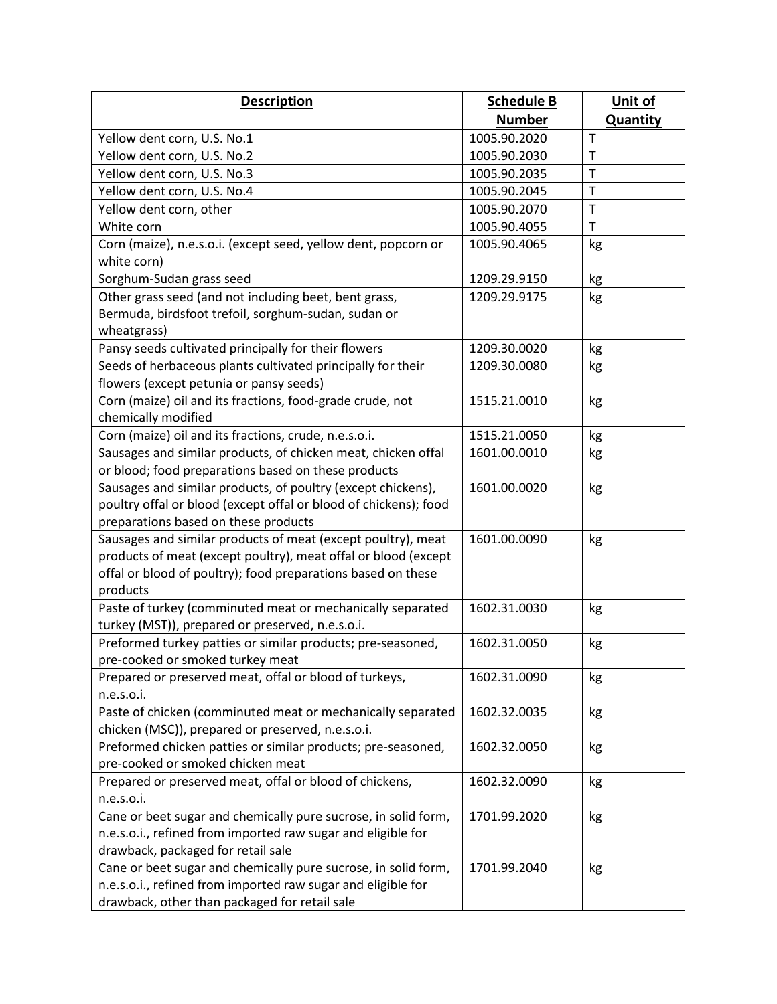| <b>Description</b>                                               | <b>Schedule B</b> | Unit of         |
|------------------------------------------------------------------|-------------------|-----------------|
|                                                                  | <b>Number</b>     | <b>Quantity</b> |
| Yellow dent corn, U.S. No.1                                      | 1005.90.2020      | T               |
| Yellow dent corn, U.S. No.2                                      | 1005.90.2030      | T               |
| Yellow dent corn, U.S. No.3                                      | 1005.90.2035      | T               |
| Yellow dent corn, U.S. No.4                                      | 1005.90.2045      | T               |
| Yellow dent corn, other                                          | 1005.90.2070      | T               |
| White corn                                                       | 1005.90.4055      | T               |
| Corn (maize), n.e.s.o.i. (except seed, yellow dent, popcorn or   | 1005.90.4065      | kg              |
| white corn)                                                      |                   |                 |
| Sorghum-Sudan grass seed                                         | 1209.29.9150      | kg              |
| Other grass seed (and not including beet, bent grass,            | 1209.29.9175      | kg              |
| Bermuda, birdsfoot trefoil, sorghum-sudan, sudan or              |                   |                 |
| wheatgrass)                                                      |                   |                 |
| Pansy seeds cultivated principally for their flowers             | 1209.30.0020      | kg              |
| Seeds of herbaceous plants cultivated principally for their      | 1209.30.0080      | kg              |
| flowers (except petunia or pansy seeds)                          |                   |                 |
| Corn (maize) oil and its fractions, food-grade crude, not        | 1515.21.0010      | kg              |
| chemically modified                                              |                   |                 |
| Corn (maize) oil and its fractions, crude, n.e.s.o.i.            | 1515.21.0050      | kg              |
| Sausages and similar products, of chicken meat, chicken offal    | 1601.00.0010      | kg              |
| or blood; food preparations based on these products              |                   |                 |
| Sausages and similar products, of poultry (except chickens),     | 1601.00.0020      | kg              |
| poultry offal or blood (except offal or blood of chickens); food |                   |                 |
| preparations based on these products                             |                   |                 |
| Sausages and similar products of meat (except poultry), meat     | 1601.00.0090      | kg              |
| products of meat (except poultry), meat offal or blood (except   |                   |                 |
| offal or blood of poultry); food preparations based on these     |                   |                 |
| products                                                         |                   |                 |
| Paste of turkey (comminuted meat or mechanically separated       | 1602.31.0030      | kg              |
| turkey (MST)), prepared or preserved, n.e.s.o.i.                 |                   |                 |
| Preformed turkey patties or similar products; pre-seasoned,      | 1602.31.0050      | kg              |
| pre-cooked or smoked turkey meat                                 |                   |                 |
| Prepared or preserved meat, offal or blood of turkeys,           | 1602.31.0090      | kg              |
| n.e.s.o.i.                                                       |                   |                 |
| Paste of chicken (comminuted meat or mechanically separated      | 1602.32.0035      | kg              |
| chicken (MSC)), prepared or preserved, n.e.s.o.i.                |                   |                 |
| Preformed chicken patties or similar products; pre-seasoned,     | 1602.32.0050      | kg              |
| pre-cooked or smoked chicken meat                                |                   |                 |
| Prepared or preserved meat, offal or blood of chickens,          | 1602.32.0090      | kg              |
| n.e.s.o.i.                                                       |                   |                 |
| Cane or beet sugar and chemically pure sucrose, in solid form,   | 1701.99.2020      | kg              |
| n.e.s.o.i., refined from imported raw sugar and eligible for     |                   |                 |
| drawback, packaged for retail sale                               |                   |                 |
| Cane or beet sugar and chemically pure sucrose, in solid form,   | 1701.99.2040      | kg              |
| n.e.s.o.i., refined from imported raw sugar and eligible for     |                   |                 |
| drawback, other than packaged for retail sale                    |                   |                 |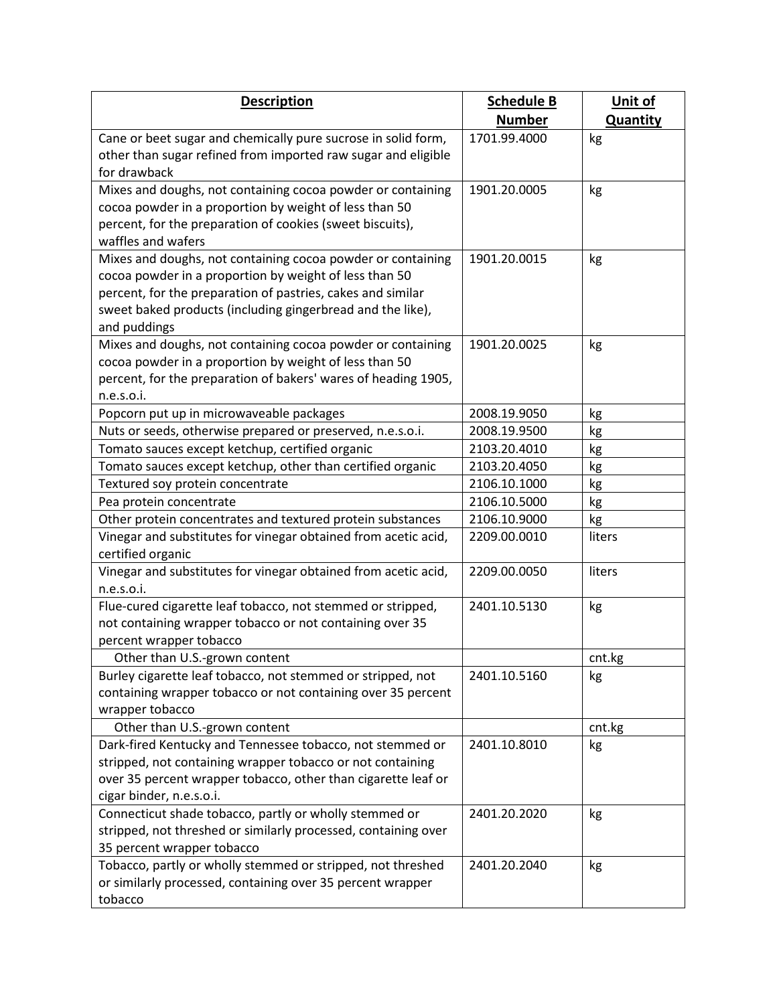| <b>Description</b>                                                                  | <b>Schedule B</b> | Unit of         |
|-------------------------------------------------------------------------------------|-------------------|-----------------|
|                                                                                     | <b>Number</b>     | <b>Quantity</b> |
| Cane or beet sugar and chemically pure sucrose in solid form,                       | 1701.99.4000      | kg              |
| other than sugar refined from imported raw sugar and eligible                       |                   |                 |
| for drawback                                                                        |                   |                 |
| Mixes and doughs, not containing cocoa powder or containing                         | 1901.20.0005      | kg              |
| cocoa powder in a proportion by weight of less than 50                              |                   |                 |
| percent, for the preparation of cookies (sweet biscuits),                           |                   |                 |
| waffles and wafers                                                                  |                   |                 |
| Mixes and doughs, not containing cocoa powder or containing                         | 1901.20.0015      | kg              |
| cocoa powder in a proportion by weight of less than 50                              |                   |                 |
| percent, for the preparation of pastries, cakes and similar                         |                   |                 |
| sweet baked products (including gingerbread and the like),                          |                   |                 |
| and puddings                                                                        |                   |                 |
| Mixes and doughs, not containing cocoa powder or containing                         | 1901.20.0025      | kg              |
| cocoa powder in a proportion by weight of less than 50                              |                   |                 |
| percent, for the preparation of bakers' wares of heading 1905,                      |                   |                 |
| n.e.s.o.i.                                                                          |                   |                 |
| Popcorn put up in microwaveable packages                                            | 2008.19.9050      | kg              |
| Nuts or seeds, otherwise prepared or preserved, n.e.s.o.i.                          | 2008.19.9500      | kg              |
| Tomato sauces except ketchup, certified organic                                     | 2103.20.4010      | kg              |
| Tomato sauces except ketchup, other than certified organic                          | 2103.20.4050      | kg              |
| Textured soy protein concentrate                                                    | 2106.10.1000      | kg              |
| Pea protein concentrate                                                             | 2106.10.5000      | kg              |
| Other protein concentrates and textured protein substances                          | 2106.10.9000      | kg              |
| Vinegar and substitutes for vinegar obtained from acetic acid,                      | 2209.00.0010      | liters          |
| certified organic                                                                   |                   |                 |
| Vinegar and substitutes for vinegar obtained from acetic acid,                      | 2209.00.0050      | liters          |
| $n.e.s.$ o.i.                                                                       |                   |                 |
| Flue-cured cigarette leaf tobacco, not stemmed or stripped,                         | 2401.10.5130      | kg              |
| not containing wrapper tobacco or not containing over 35<br>percent wrapper tobacco |                   |                 |
| Other than U.S.-grown content                                                       |                   | cnt.kg          |
| Burley cigarette leaf tobacco, not stemmed or stripped, not                         | 2401.10.5160      |                 |
| containing wrapper tobacco or not containing over 35 percent                        |                   | kg              |
| wrapper tobacco                                                                     |                   |                 |
| Other than U.S.-grown content                                                       |                   | cnt.kg          |
| Dark-fired Kentucky and Tennessee tobacco, not stemmed or                           | 2401.10.8010      | kg              |
| stripped, not containing wrapper tobacco or not containing                          |                   |                 |
| over 35 percent wrapper tobacco, other than cigarette leaf or                       |                   |                 |
| cigar binder, n.e.s.o.i.                                                            |                   |                 |
| Connecticut shade tobacco, partly or wholly stemmed or                              | 2401.20.2020      | kg              |
| stripped, not threshed or similarly processed, containing over                      |                   |                 |
| 35 percent wrapper tobacco                                                          |                   |                 |
| Tobacco, partly or wholly stemmed or stripped, not threshed                         | 2401.20.2040      | kg              |
| or similarly processed, containing over 35 percent wrapper                          |                   |                 |
| tobacco                                                                             |                   |                 |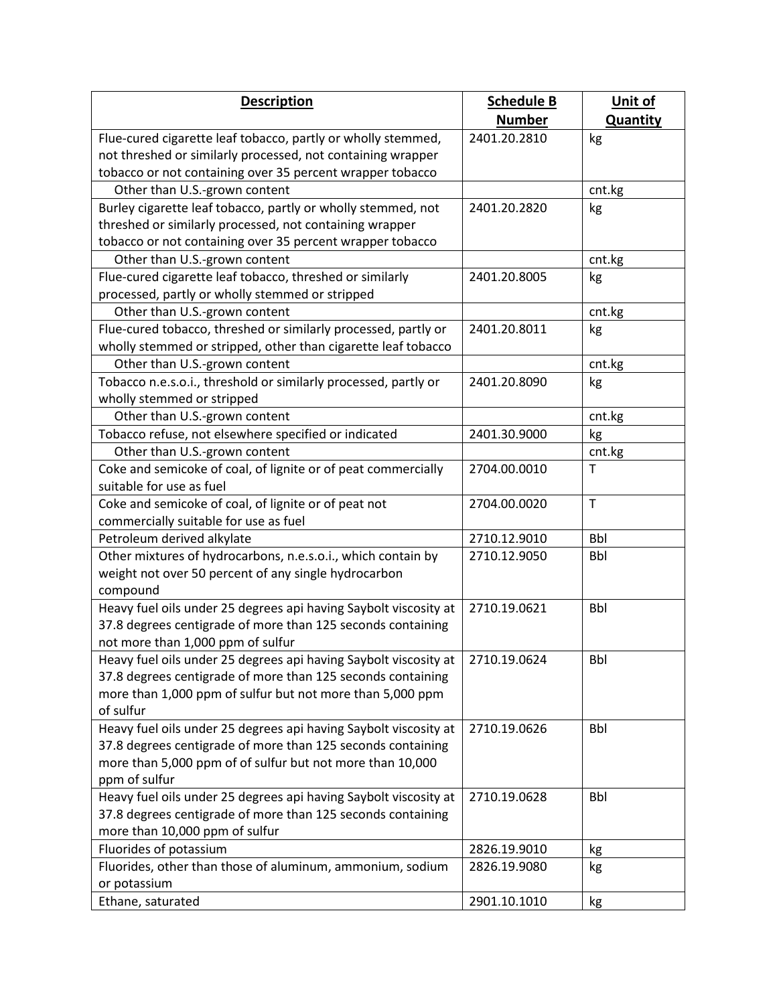| <b>Description</b>                                                              | <b>Schedule B</b> | Unit of         |
|---------------------------------------------------------------------------------|-------------------|-----------------|
|                                                                                 | <b>Number</b>     | <b>Quantity</b> |
| Flue-cured cigarette leaf tobacco, partly or wholly stemmed,                    | 2401.20.2810      | kg              |
| not threshed or similarly processed, not containing wrapper                     |                   |                 |
| tobacco or not containing over 35 percent wrapper tobacco                       |                   |                 |
| Other than U.S.-grown content                                                   |                   | cnt.kg          |
| Burley cigarette leaf tobacco, partly or wholly stemmed, not                    | 2401.20.2820      | kg              |
| threshed or similarly processed, not containing wrapper                         |                   |                 |
| tobacco or not containing over 35 percent wrapper tobacco                       |                   |                 |
| Other than U.S.-grown content                                                   |                   | cnt.kg          |
| Flue-cured cigarette leaf tobacco, threshed or similarly                        | 2401.20.8005      | kg              |
| processed, partly or wholly stemmed or stripped                                 |                   |                 |
| Other than U.S.-grown content                                                   |                   | cnt.kg          |
| Flue-cured tobacco, threshed or similarly processed, partly or                  | 2401.20.8011      | kg              |
| wholly stemmed or stripped, other than cigarette leaf tobacco                   |                   |                 |
| Other than U.S.-grown content                                                   |                   | cnt.kg          |
| Tobacco n.e.s.o.i., threshold or similarly processed, partly or                 | 2401.20.8090      | kg              |
| wholly stemmed or stripped                                                      |                   |                 |
| Other than U.S.-grown content                                                   |                   | cnt.kg          |
| Tobacco refuse, not elsewhere specified or indicated                            | 2401.30.9000      | kg              |
| Other than U.S.-grown content                                                   |                   | cnt.kg          |
| Coke and semicoke of coal, of lignite or of peat commercially                   | 2704.00.0010      | T               |
| suitable for use as fuel                                                        |                   |                 |
| Coke and semicoke of coal, of lignite or of peat not                            | 2704.00.0020      | T.              |
| commercially suitable for use as fuel                                           |                   |                 |
| Petroleum derived alkylate                                                      | 2710.12.9010      | <b>Bbl</b>      |
| Other mixtures of hydrocarbons, n.e.s.o.i., which contain by                    | 2710.12.9050      | <b>Bbl</b>      |
| weight not over 50 percent of any single hydrocarbon                            |                   |                 |
| compound                                                                        |                   |                 |
| Heavy fuel oils under 25 degrees api having Saybolt viscosity at                | 2710.19.0621      | <b>Bbl</b>      |
| 37.8 degrees centigrade of more than 125 seconds containing                     |                   |                 |
| not more than 1,000 ppm of sulfur                                               |                   |                 |
| Heavy fuel oils under 25 degrees api having Saybolt viscosity at   2710.19.0624 |                   | <b>Bbl</b>      |
| 37.8 degrees centigrade of more than 125 seconds containing                     |                   |                 |
| more than 1,000 ppm of sulfur but not more than 5,000 ppm                       |                   |                 |
| of sulfur                                                                       |                   |                 |
| Heavy fuel oils under 25 degrees api having Saybolt viscosity at                | 2710.19.0626      | <b>Bbl</b>      |
| 37.8 degrees centigrade of more than 125 seconds containing                     |                   |                 |
| more than 5,000 ppm of of sulfur but not more than 10,000                       |                   |                 |
| ppm of sulfur                                                                   |                   |                 |
| Heavy fuel oils under 25 degrees api having Saybolt viscosity at                | 2710.19.0628      | <b>Bbl</b>      |
| 37.8 degrees centigrade of more than 125 seconds containing                     |                   |                 |
| more than 10,000 ppm of sulfur                                                  |                   |                 |
| Fluorides of potassium                                                          | 2826.19.9010      | kg              |
| Fluorides, other than those of aluminum, ammonium, sodium                       | 2826.19.9080      | kg              |
| or potassium                                                                    |                   |                 |
| Ethane, saturated                                                               | 2901.10.1010      | kg              |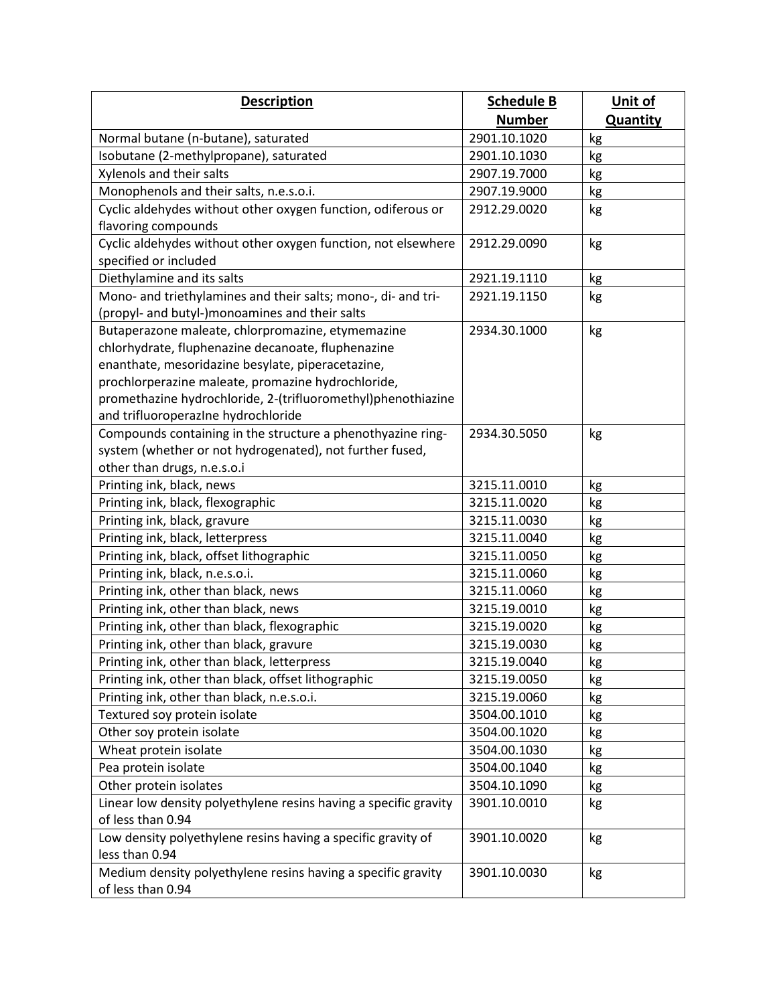| <b>Description</b>                                               | <b>Schedule B</b> | Unit of         |
|------------------------------------------------------------------|-------------------|-----------------|
|                                                                  | <b>Number</b>     | <b>Quantity</b> |
| Normal butane (n-butane), saturated                              | 2901.10.1020      | kg              |
| Isobutane (2-methylpropane), saturated                           | 2901.10.1030      | kg              |
| Xylenols and their salts                                         | 2907.19.7000      | kg              |
| Monophenols and their salts, n.e.s.o.i.                          | 2907.19.9000      | kg              |
| Cyclic aldehydes without other oxygen function, odiferous or     | 2912.29.0020      | kg              |
| flavoring compounds                                              |                   |                 |
| Cyclic aldehydes without other oxygen function, not elsewhere    | 2912.29.0090      | kg              |
| specified or included                                            |                   |                 |
| Diethylamine and its salts                                       | 2921.19.1110      | kg              |
| Mono- and triethylamines and their salts; mono-, di- and tri-    | 2921.19.1150      | kg              |
| (propyl- and butyl-)monoamines and their salts                   |                   |                 |
| Butaperazone maleate, chlorpromazine, etymemazine                | 2934.30.1000      | kg              |
| chlorhydrate, fluphenazine decanoate, fluphenazine               |                   |                 |
| enanthate, mesoridazine besylate, piperacetazine,                |                   |                 |
| prochlorperazine maleate, promazine hydrochloride,               |                   |                 |
| promethazine hydrochloride, 2-(trifluoromethyl)phenothiazine     |                   |                 |
| and trifluoroperazine hydrochloride                              |                   |                 |
| Compounds containing in the structure a phenothyazine ring-      | 2934.30.5050      | kg              |
| system (whether or not hydrogenated), not further fused,         |                   |                 |
| other than drugs, n.e.s.o.i                                      |                   |                 |
| Printing ink, black, news                                        | 3215.11.0010      | kg              |
| Printing ink, black, flexographic                                | 3215.11.0020      | kg              |
| Printing ink, black, gravure                                     | 3215.11.0030      | kg              |
| Printing ink, black, letterpress                                 | 3215.11.0040      | kg              |
| Printing ink, black, offset lithographic                         | 3215.11.0050      | kg              |
| Printing ink, black, n.e.s.o.i.                                  | 3215.11.0060      | kg              |
| Printing ink, other than black, news                             | 3215.11.0060      | kg              |
| Printing ink, other than black, news                             | 3215.19.0010      | kg              |
| Printing ink, other than black, flexographic                     | 3215.19.0020      | kg              |
| Printing ink, other than black, gravure                          | 3215.19.0030      | kg              |
| Printing ink, other than black, letterpress                      | 3215.19.0040      | kg              |
| Printing ink, other than black, offset lithographic              | 3215.19.0050      | kg              |
| Printing ink, other than black, n.e.s.o.i.                       | 3215.19.0060      | kg              |
| Textured soy protein isolate                                     | 3504.00.1010      | kg              |
| Other soy protein isolate                                        | 3504.00.1020      | kg              |
| Wheat protein isolate                                            | 3504.00.1030      | kg              |
| Pea protein isolate                                              | 3504.00.1040      | kg              |
| Other protein isolates                                           | 3504.10.1090      | kg              |
| Linear low density polyethylene resins having a specific gravity | 3901.10.0010      | kg              |
| of less than 0.94                                                |                   |                 |
| Low density polyethylene resins having a specific gravity of     | 3901.10.0020      | kg              |
| less than 0.94                                                   |                   |                 |
| Medium density polyethylene resins having a specific gravity     | 3901.10.0030      | kg              |
| of less than 0.94                                                |                   |                 |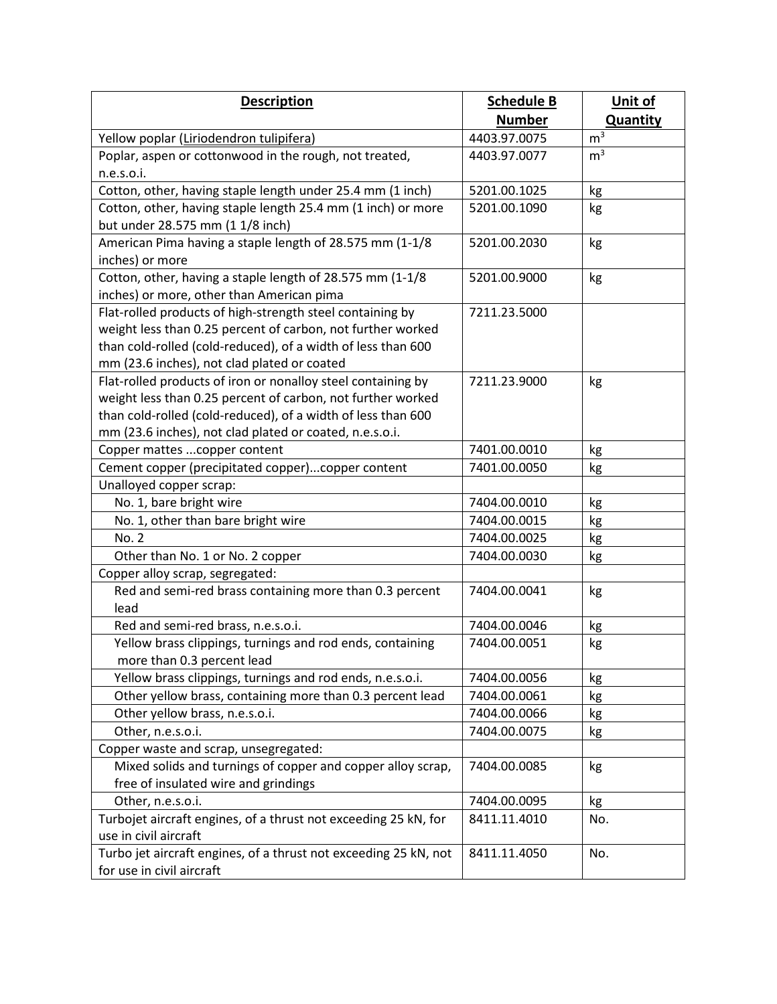| <b>Description</b>                                               | <b>Schedule B</b> | Unit of         |
|------------------------------------------------------------------|-------------------|-----------------|
|                                                                  | <b>Number</b>     | <b>Quantity</b> |
| Yellow poplar (Liriodendron tulipifera)                          | 4403.97.0075      | m <sup>3</sup>  |
| Poplar, aspen or cottonwood in the rough, not treated,           | 4403.97.0077      | m <sup>3</sup>  |
| n.e.s.o.i.                                                       |                   |                 |
| Cotton, other, having staple length under 25.4 mm (1 inch)       | 5201.00.1025      | kg              |
| Cotton, other, having staple length 25.4 mm (1 inch) or more     | 5201.00.1090      | kg              |
| but under 28.575 mm (1 1/8 inch)                                 |                   |                 |
| American Pima having a staple length of 28.575 mm (1-1/8         | 5201.00.2030      | kg              |
| inches) or more                                                  |                   |                 |
| Cotton, other, having a staple length of 28.575 mm (1-1/8        | 5201.00.9000      | kg              |
| inches) or more, other than American pima                        |                   |                 |
| Flat-rolled products of high-strength steel containing by        | 7211.23.5000      |                 |
| weight less than 0.25 percent of carbon, not further worked      |                   |                 |
| than cold-rolled (cold-reduced), of a width of less than 600     |                   |                 |
| mm (23.6 inches), not clad plated or coated                      |                   |                 |
| Flat-rolled products of iron or nonalloy steel containing by     | 7211.23.9000      | kg              |
| weight less than 0.25 percent of carbon, not further worked      |                   |                 |
| than cold-rolled (cold-reduced), of a width of less than 600     |                   |                 |
| mm (23.6 inches), not clad plated or coated, n.e.s.o.i.          |                   |                 |
| Copper mattes  copper content                                    | 7401.00.0010      | kg              |
| Cement copper (precipitated copper)copper content                | 7401.00.0050      | kg              |
| Unalloyed copper scrap:                                          |                   |                 |
| No. 1, bare bright wire                                          | 7404.00.0010      | kg              |
| No. 1, other than bare bright wire                               | 7404.00.0015      | kg              |
| No. 2                                                            | 7404.00.0025      | kg              |
| Other than No. 1 or No. 2 copper                                 | 7404.00.0030      | kg              |
| Copper alloy scrap, segregated:                                  |                   |                 |
| Red and semi-red brass containing more than 0.3 percent          | 7404.00.0041      | kg              |
| lead                                                             |                   |                 |
| Red and semi-red brass, n.e.s.o.i.                               | 7404.00.0046      | kg              |
| Yellow brass clippings, turnings and rod ends, containing        | 7404.00.0051      | kg              |
| more than 0.3 percent lead                                       |                   |                 |
| Yellow brass clippings, turnings and rod ends, n.e.s.o.i.        | 7404.00.0056      | kg              |
| Other yellow brass, containing more than 0.3 percent lead        | 7404.00.0061      | kg              |
| Other yellow brass, n.e.s.o.i.                                   | 7404.00.0066      | kg              |
| Other, n.e.s.o.i.                                                | 7404.00.0075      | kg              |
| Copper waste and scrap, unsegregated:                            |                   |                 |
| Mixed solids and turnings of copper and copper alloy scrap,      | 7404.00.0085      | kg              |
| free of insulated wire and grindings                             |                   |                 |
| Other, n.e.s.o.i.                                                | 7404.00.0095      | kg              |
| Turbojet aircraft engines, of a thrust not exceeding 25 kN, for  | 8411.11.4010      | No.             |
| use in civil aircraft                                            |                   |                 |
| Turbo jet aircraft engines, of a thrust not exceeding 25 kN, not | 8411.11.4050      | No.             |
| for use in civil aircraft                                        |                   |                 |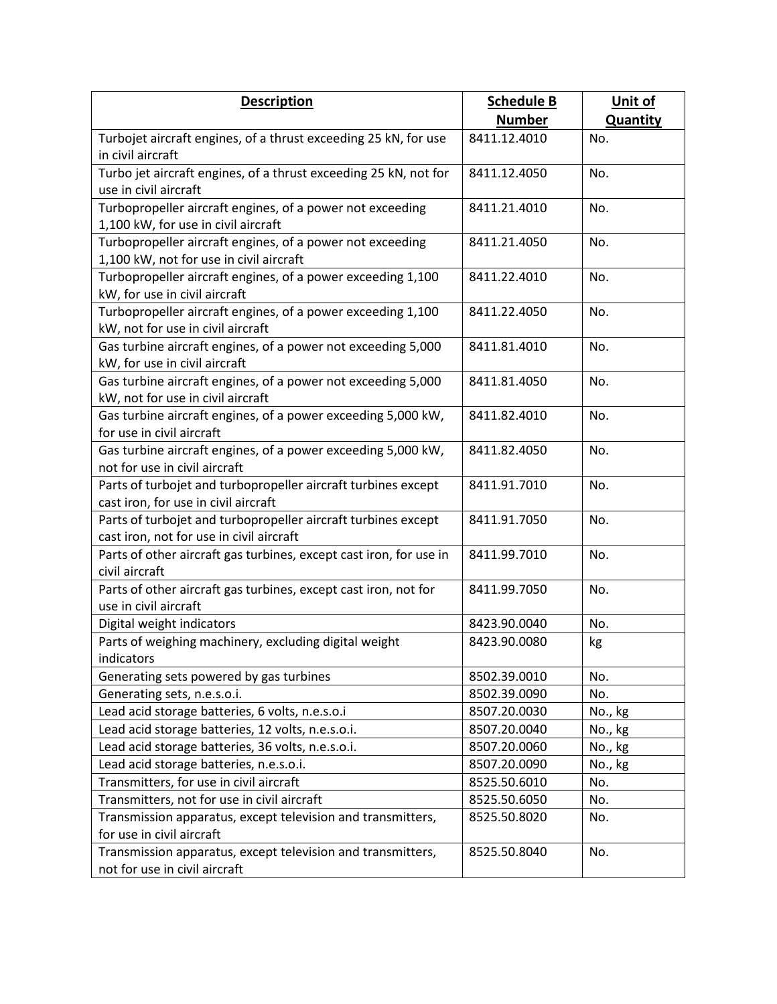| <b>Description</b>                                                                        | <b>Schedule B</b> | Unit of         |
|-------------------------------------------------------------------------------------------|-------------------|-----------------|
|                                                                                           | <b>Number</b>     | <b>Quantity</b> |
| Turbojet aircraft engines, of a thrust exceeding 25 kN, for use                           | 8411.12.4010      | No.             |
| in civil aircraft                                                                         |                   |                 |
| Turbo jet aircraft engines, of a thrust exceeding 25 kN, not for                          | 8411.12.4050      | No.             |
| use in civil aircraft                                                                     |                   |                 |
| Turbopropeller aircraft engines, of a power not exceeding                                 | 8411.21.4010      | No.             |
| 1,100 kW, for use in civil aircraft                                                       |                   |                 |
| Turbopropeller aircraft engines, of a power not exceeding                                 | 8411.21.4050      | No.             |
| 1,100 kW, not for use in civil aircraft                                                   |                   |                 |
| Turbopropeller aircraft engines, of a power exceeding 1,100                               | 8411.22.4010      | No.             |
| kW, for use in civil aircraft                                                             |                   |                 |
| Turbopropeller aircraft engines, of a power exceeding 1,100                               | 8411.22.4050      | No.             |
| kW, not for use in civil aircraft                                                         |                   |                 |
| Gas turbine aircraft engines, of a power not exceeding 5,000                              | 8411.81.4010      | No.             |
| kW, for use in civil aircraft                                                             |                   |                 |
| Gas turbine aircraft engines, of a power not exceeding 5,000                              | 8411.81.4050      | No.             |
| kW, not for use in civil aircraft                                                         | 8411.82.4010      | No.             |
| Gas turbine aircraft engines, of a power exceeding 5,000 kW,<br>for use in civil aircraft |                   |                 |
| Gas turbine aircraft engines, of a power exceeding 5,000 kW,                              | 8411.82.4050      | No.             |
| not for use in civil aircraft                                                             |                   |                 |
| Parts of turbojet and turbopropeller aircraft turbines except                             | 8411.91.7010      | No.             |
| cast iron, for use in civil aircraft                                                      |                   |                 |
| Parts of turbojet and turbopropeller aircraft turbines except                             | 8411.91.7050      | No.             |
| cast iron, not for use in civil aircraft                                                  |                   |                 |
| Parts of other aircraft gas turbines, except cast iron, for use in                        | 8411.99.7010      | No.             |
| civil aircraft                                                                            |                   |                 |
| Parts of other aircraft gas turbines, except cast iron, not for                           | 8411.99.7050      | No.             |
| use in civil aircraft                                                                     |                   |                 |
| Digital weight indicators                                                                 | 8423.90.0040      | No.             |
| Parts of weighing machinery, excluding digital weight                                     | 8423.90.0080      | kg              |
| indicators                                                                                |                   |                 |
| Generating sets powered by gas turbines                                                   | 8502.39.0010      | No.             |
| Generating sets, n.e.s.o.i.                                                               | 8502.39.0090      | No.             |
| Lead acid storage batteries, 6 volts, n.e.s.o.i                                           | 8507.20.0030      | No., kg         |
| Lead acid storage batteries, 12 volts, n.e.s.o.i.                                         | 8507.20.0040      | No., kg         |
| Lead acid storage batteries, 36 volts, n.e.s.o.i.                                         | 8507.20.0060      | No., kg         |
| Lead acid storage batteries, n.e.s.o.i.                                                   | 8507.20.0090      | No., kg         |
| Transmitters, for use in civil aircraft                                                   | 8525.50.6010      | No.             |
| Transmitters, not for use in civil aircraft                                               | 8525.50.6050      | No.             |
| Transmission apparatus, except television and transmitters,                               | 8525.50.8020      | No.             |
| for use in civil aircraft                                                                 |                   |                 |
| Transmission apparatus, except television and transmitters,                               | 8525.50.8040      | No.             |
| not for use in civil aircraft                                                             |                   |                 |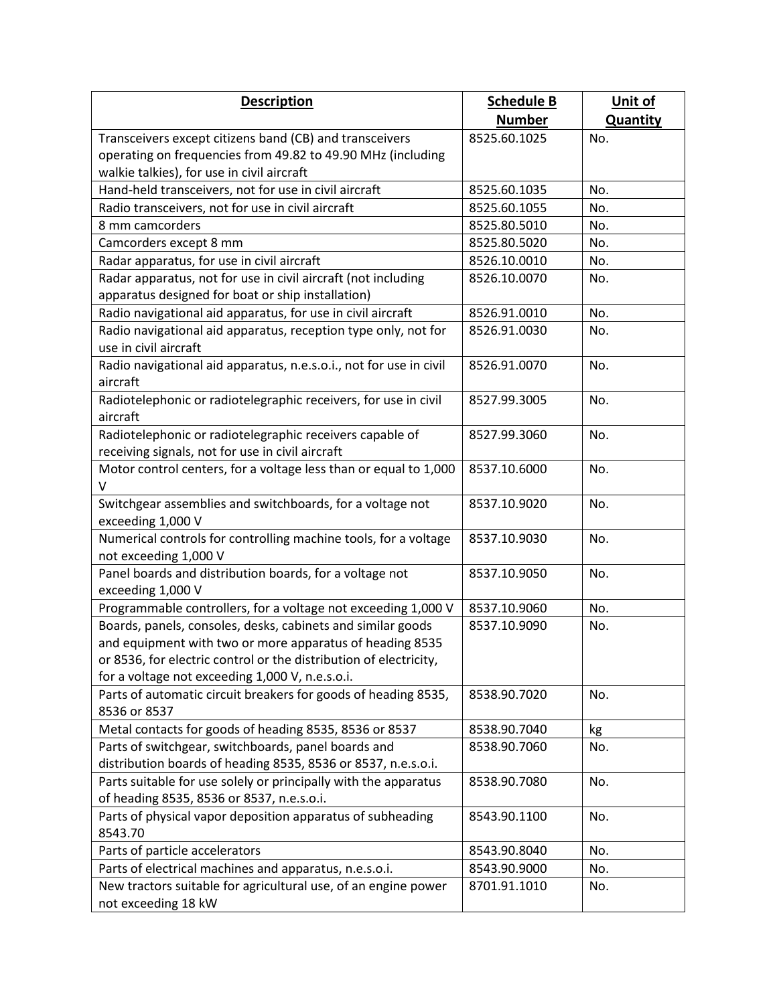| <b>Description</b>                                                                                                                                                                                                                              | <b>Schedule B</b> | Unit of         |
|-------------------------------------------------------------------------------------------------------------------------------------------------------------------------------------------------------------------------------------------------|-------------------|-----------------|
|                                                                                                                                                                                                                                                 | <b>Number</b>     | <b>Quantity</b> |
| Transceivers except citizens band (CB) and transceivers                                                                                                                                                                                         | 8525.60.1025      | No.             |
| operating on frequencies from 49.82 to 49.90 MHz (including                                                                                                                                                                                     |                   |                 |
| walkie talkies), for use in civil aircraft                                                                                                                                                                                                      |                   |                 |
| Hand-held transceivers, not for use in civil aircraft                                                                                                                                                                                           | 8525.60.1035      | No.             |
| Radio transceivers, not for use in civil aircraft                                                                                                                                                                                               | 8525.60.1055      | No.             |
| 8 mm camcorders                                                                                                                                                                                                                                 | 8525.80.5010      | No.             |
| Camcorders except 8 mm                                                                                                                                                                                                                          | 8525.80.5020      | No.             |
| Radar apparatus, for use in civil aircraft                                                                                                                                                                                                      | 8526.10.0010      | No.             |
| Radar apparatus, not for use in civil aircraft (not including                                                                                                                                                                                   | 8526.10.0070      | No.             |
| apparatus designed for boat or ship installation)                                                                                                                                                                                               |                   |                 |
| Radio navigational aid apparatus, for use in civil aircraft                                                                                                                                                                                     | 8526.91.0010      | No.             |
| Radio navigational aid apparatus, reception type only, not for<br>use in civil aircraft                                                                                                                                                         | 8526.91.0030      | No.             |
| Radio navigational aid apparatus, n.e.s.o.i., not for use in civil<br>aircraft                                                                                                                                                                  | 8526.91.0070      | No.             |
| Radiotelephonic or radiotelegraphic receivers, for use in civil<br>aircraft                                                                                                                                                                     | 8527.99.3005      | No.             |
| Radiotelephonic or radiotelegraphic receivers capable of<br>receiving signals, not for use in civil aircraft                                                                                                                                    | 8527.99.3060      | No.             |
| Motor control centers, for a voltage less than or equal to 1,000<br>V                                                                                                                                                                           | 8537.10.6000      | No.             |
| Switchgear assemblies and switchboards, for a voltage not<br>exceeding 1,000 V                                                                                                                                                                  | 8537.10.9020      | No.             |
| Numerical controls for controlling machine tools, for a voltage<br>not exceeding 1,000 V                                                                                                                                                        | 8537.10.9030      | No.             |
| Panel boards and distribution boards, for a voltage not<br>exceeding 1,000 V                                                                                                                                                                    | 8537.10.9050      | No.             |
| Programmable controllers, for a voltage not exceeding 1,000 V                                                                                                                                                                                   | 8537.10.9060      | No.             |
| Boards, panels, consoles, desks, cabinets and similar goods<br>and equipment with two or more apparatus of heading 8535<br>or 8536, for electric control or the distribution of electricity,<br>for a voltage not exceeding 1,000 V, n.e.s.o.i. | 8537.10.9090      | No.             |
| Parts of automatic circuit breakers for goods of heading 8535,<br>8536 or 8537                                                                                                                                                                  | 8538.90.7020      | No.             |
| Metal contacts for goods of heading 8535, 8536 or 8537                                                                                                                                                                                          | 8538.90.7040      | kg              |
| Parts of switchgear, switchboards, panel boards and<br>distribution boards of heading 8535, 8536 or 8537, n.e.s.o.i.                                                                                                                            | 8538.90.7060      | No.             |
| Parts suitable for use solely or principally with the apparatus<br>of heading 8535, 8536 or 8537, n.e.s.o.i.                                                                                                                                    | 8538.90.7080      | No.             |
| Parts of physical vapor deposition apparatus of subheading<br>8543.70                                                                                                                                                                           | 8543.90.1100      | No.             |
| Parts of particle accelerators                                                                                                                                                                                                                  | 8543.90.8040      | No.             |
| Parts of electrical machines and apparatus, n.e.s.o.i.                                                                                                                                                                                          | 8543.90.9000      | No.             |
| New tractors suitable for agricultural use, of an engine power<br>not exceeding 18 kW                                                                                                                                                           | 8701.91.1010      | No.             |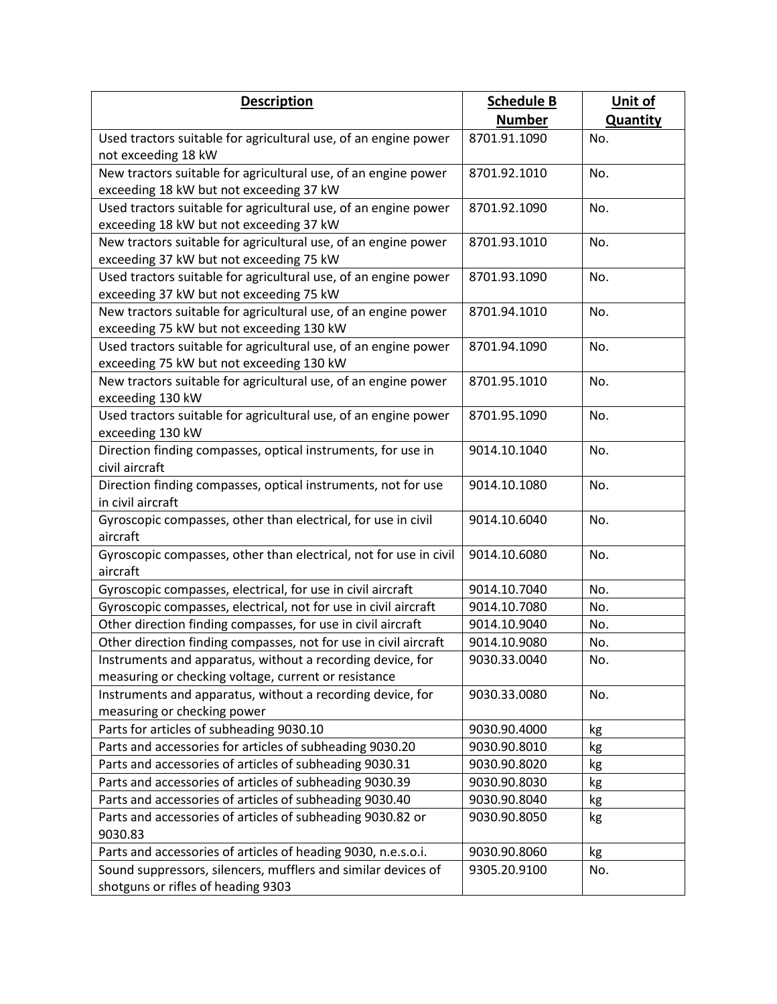| <b>Description</b>                                                                  | <b>Schedule B</b> | Unit of         |
|-------------------------------------------------------------------------------------|-------------------|-----------------|
|                                                                                     | <b>Number</b>     | <b>Quantity</b> |
| Used tractors suitable for agricultural use, of an engine power                     | 8701.91.1090      | No.             |
| not exceeding 18 kW                                                                 |                   |                 |
| New tractors suitable for agricultural use, of an engine power                      | 8701.92.1010      | No.             |
| exceeding 18 kW but not exceeding 37 kW                                             |                   |                 |
| Used tractors suitable for agricultural use, of an engine power                     | 8701.92.1090      | No.             |
| exceeding 18 kW but not exceeding 37 kW                                             |                   |                 |
| New tractors suitable for agricultural use, of an engine power                      | 8701.93.1010      | No.             |
| exceeding 37 kW but not exceeding 75 kW                                             |                   |                 |
| Used tractors suitable for agricultural use, of an engine power                     | 8701.93.1090      | No.             |
| exceeding 37 kW but not exceeding 75 kW                                             |                   |                 |
| New tractors suitable for agricultural use, of an engine power                      | 8701.94.1010      | No.             |
| exceeding 75 kW but not exceeding 130 kW                                            |                   |                 |
| Used tractors suitable for agricultural use, of an engine power                     | 8701.94.1090      | No.             |
| exceeding 75 kW but not exceeding 130 kW                                            |                   |                 |
| New tractors suitable for agricultural use, of an engine power                      | 8701.95.1010      | No.             |
| exceeding 130 kW                                                                    |                   |                 |
| Used tractors suitable for agricultural use, of an engine power<br>exceeding 130 kW | 8701.95.1090      | No.             |
| Direction finding compasses, optical instruments, for use in                        | 9014.10.1040      | No.             |
| civil aircraft                                                                      |                   |                 |
| Direction finding compasses, optical instruments, not for use                       | 9014.10.1080      | No.             |
| in civil aircraft                                                                   |                   |                 |
| Gyroscopic compasses, other than electrical, for use in civil                       | 9014.10.6040      | No.             |
| aircraft                                                                            |                   |                 |
| Gyroscopic compasses, other than electrical, not for use in civil                   | 9014.10.6080      | No.             |
| aircraft                                                                            |                   |                 |
| Gyroscopic compasses, electrical, for use in civil aircraft                         | 9014.10.7040      | No.             |
| Gyroscopic compasses, electrical, not for use in civil aircraft                     | 9014.10.7080      | No.             |
| Other direction finding compasses, for use in civil aircraft                        | 9014.10.9040      | No.             |
| Other direction finding compasses, not for use in civil aircraft                    | 9014.10.9080      | No.             |
| Instruments and apparatus, without a recording device, for                          | 9030.33.0040      | No.             |
| measuring or checking voltage, current or resistance                                |                   |                 |
| Instruments and apparatus, without a recording device, for                          | 9030.33.0080      | No.             |
| measuring or checking power                                                         |                   |                 |
| Parts for articles of subheading 9030.10                                            | 9030.90.4000      | kg              |
| Parts and accessories for articles of subheading 9030.20                            | 9030.90.8010      | kg              |
| Parts and accessories of articles of subheading 9030.31                             | 9030.90.8020      | kg              |
| Parts and accessories of articles of subheading 9030.39                             | 9030.90.8030      | kg              |
| Parts and accessories of articles of subheading 9030.40                             | 9030.90.8040      | kg              |
| Parts and accessories of articles of subheading 9030.82 or                          | 9030.90.8050      | kg              |
| 9030.83                                                                             |                   |                 |
| Parts and accessories of articles of heading 9030, n.e.s.o.i.                       | 9030.90.8060      | kg              |
| Sound suppressors, silencers, mufflers and similar devices of                       | 9305.20.9100      | No.             |
| shotguns or rifles of heading 9303                                                  |                   |                 |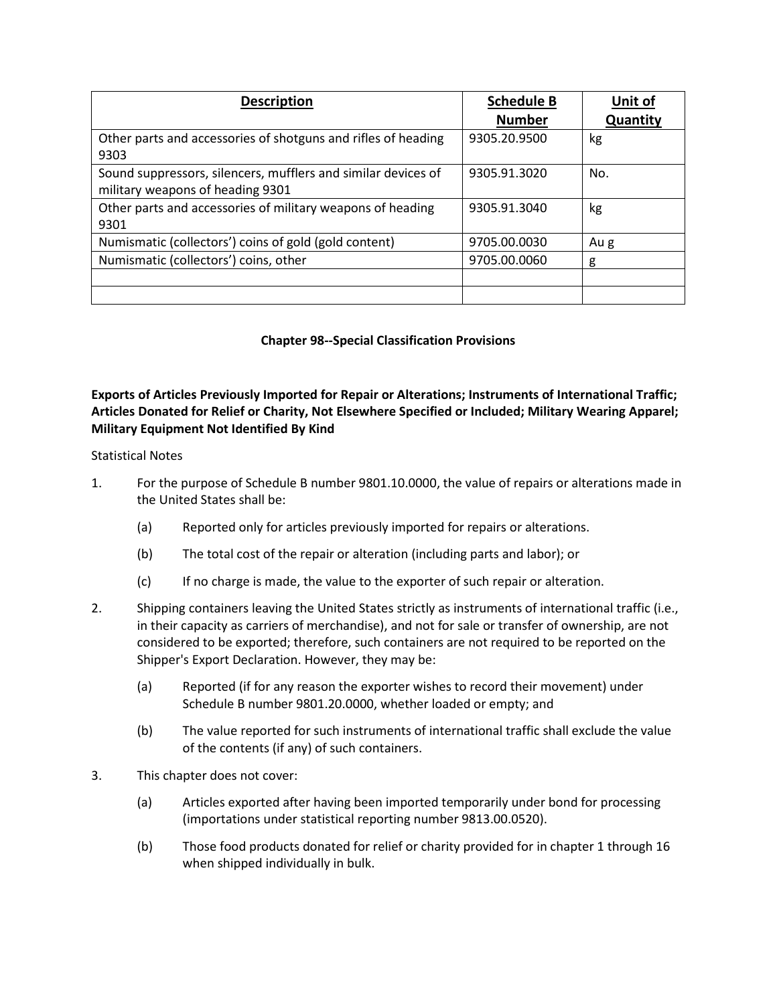| <b>Description</b>                                            | <b>Schedule B</b> | Unit of  |
|---------------------------------------------------------------|-------------------|----------|
|                                                               | <b>Number</b>     | Quantity |
| Other parts and accessories of shotguns and rifles of heading | 9305.20.9500      | kg       |
| 9303                                                          |                   |          |
| Sound suppressors, silencers, mufflers and similar devices of | 9305.91.3020      | No.      |
| military weapons of heading 9301                              |                   |          |
| Other parts and accessories of military weapons of heading    | 9305.91.3040      | kg       |
| 9301                                                          |                   |          |
| Numismatic (collectors') coins of gold (gold content)         | 9705.00.0030      | Au g     |
| Numismatic (collectors') coins, other                         | 9705.00.0060      | g        |
|                                                               |                   |          |
|                                                               |                   |          |

## **Chapter 98--Special Classification Provisions**

## **Exports of Articles Previously Imported for Repair or Alterations; Instruments of International Traffic; Articles Donated for Relief or Charity, Not Elsewhere Specified or Included; Military Wearing Apparel; Military Equipment Not Identified By Kind**

## Statistical Notes

- 1. For the purpose of Schedule B number 9801.10.0000, the value of repairs or alterations made in the United States shall be:
	- (a) Reported only for articles previously imported for repairs or alterations.
	- (b) The total cost of the repair or alteration (including parts and labor); or
	- (c) If no charge is made, the value to the exporter of such repair or alteration.
- 2. Shipping containers leaving the United States strictly as instruments of international traffic (i.e., in their capacity as carriers of merchandise), and not for sale or transfer of ownership, are not considered to be exported; therefore, such containers are not required to be reported on the Shipper's Export Declaration. However, they may be:
	- (a) Reported (if for any reason the exporter wishes to record their movement) under Schedule B number 9801.20.0000, whether loaded or empty; and
	- (b) The value reported for such instruments of international traffic shall exclude the value of the contents (if any) of such containers.
- 3. This chapter does not cover:
	- (a) Articles exported after having been imported temporarily under bond for processing (importations under statistical reporting number 9813.00.0520).
	- (b) Those food products donated for relief or charity provided for in chapter 1 through 16 when shipped individually in bulk.